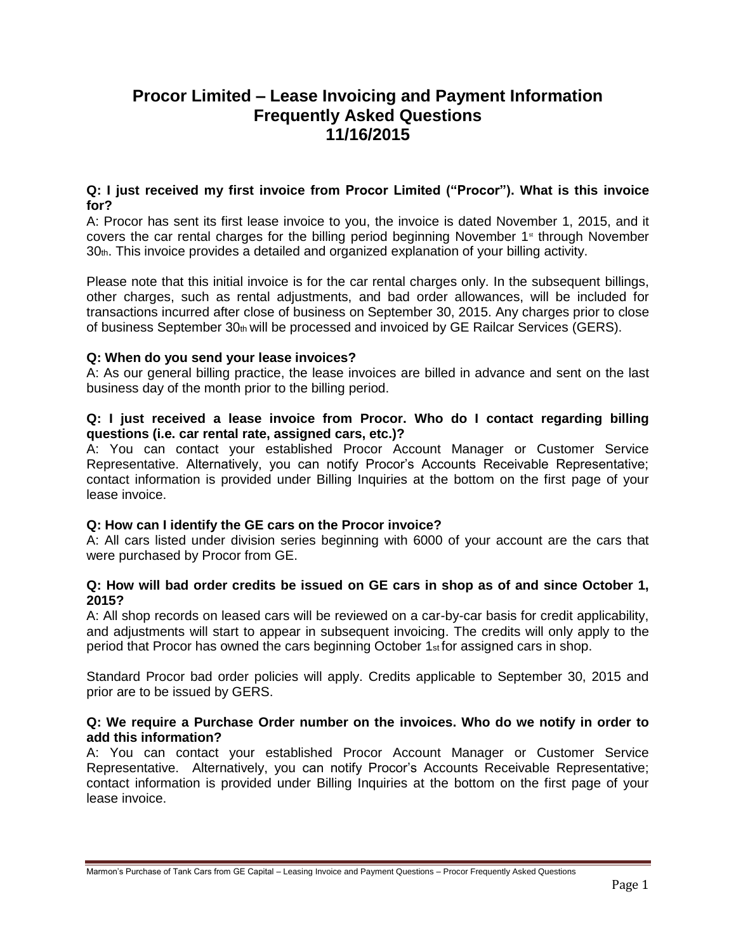# **Procor Limited – Lease Invoicing and Payment Information Frequently Asked Questions 11/16/2015**

# **Q: I just received my first invoice from Procor Limited ("Procor"). What is this invoice for?**

A: Procor has sent its first lease invoice to you, the invoice is dated November 1, 2015, and it covers the car rental charges for the billing period beginning November  $1<sup>st</sup>$  through November 30th. This invoice provides a detailed and organized explanation of your billing activity.

Please note that this initial invoice is for the car rental charges only. In the subsequent billings, other charges, such as rental adjustments, and bad order allowances, will be included for transactions incurred after close of business on September 30, 2015. Any charges prior to close of business September 30th will be processed and invoiced by GE Railcar Services (GERS).

# **Q: When do you send your lease invoices?**

A: As our general billing practice, the lease invoices are billed in advance and sent on the last business day of the month prior to the billing period.

## **Q: I just received a lease invoice from Procor. Who do I contact regarding billing questions (i.e. car rental rate, assigned cars, etc.)?**

A: You can contact your established Procor Account Manager or Customer Service Representative. Alternatively, you can notify Procor's Accounts Receivable Representative; contact information is provided under Billing Inquiries at the bottom on the first page of your lease invoice.

# **Q: How can I identify the GE cars on the Procor invoice?**

A: All cars listed under division series beginning with 6000 of your account are the cars that were purchased by Procor from GE.

## **Q: How will bad order credits be issued on GE cars in shop as of and since October 1, 2015?**

A: All shop records on leased cars will be reviewed on a car-by-car basis for credit applicability, and adjustments will start to appear in subsequent invoicing. The credits will only apply to the period that Procor has owned the cars beginning October 1st for assigned cars in shop.

Standard Procor bad order policies will apply. Credits applicable to September 30, 2015 and prior are to be issued by GERS.

## **Q: We require a Purchase Order number on the invoices. Who do we notify in order to add this information?**

A: You can contact your established Procor Account Manager or Customer Service Representative. Alternatively, you can notify Procor's Accounts Receivable Representative; contact information is provided under Billing Inquiries at the bottom on the first page of your lease invoice.

Marmon's Purchase of Tank Cars from GE Capital – Leasing Invoice and Payment Questions – Procor Frequently Asked Questions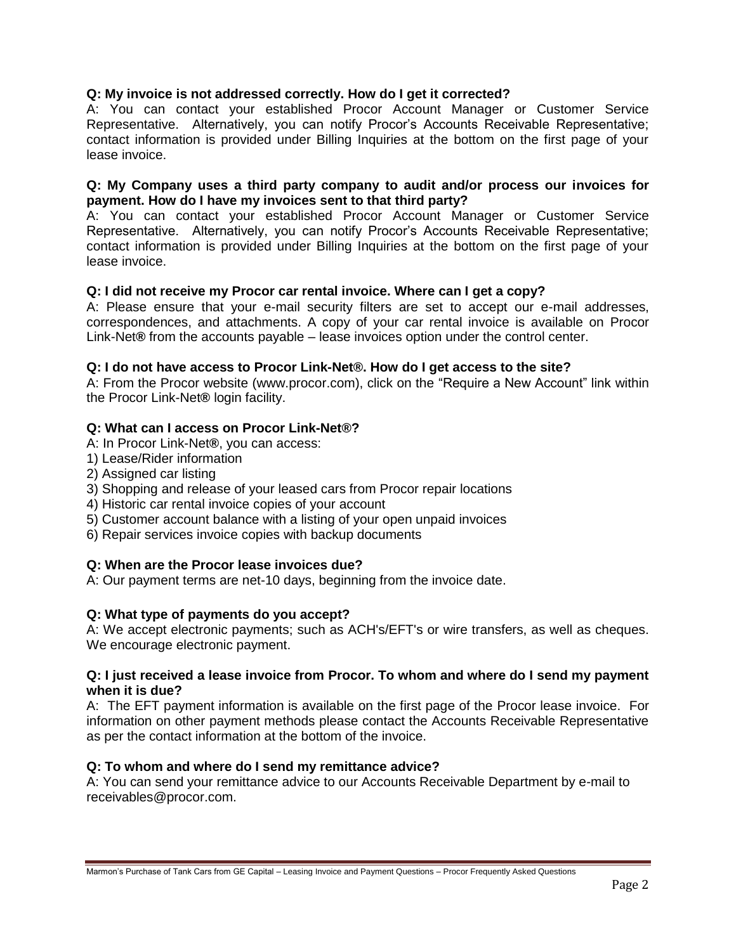# **Q: My invoice is not addressed correctly. How do I get it corrected?**

A: You can contact your established Procor Account Manager or Customer Service Representative. Alternatively, you can notify Procor's Accounts Receivable Representative; contact information is provided under Billing Inquiries at the bottom on the first page of your lease invoice.

## **Q: My Company uses a third party company to audit and/or process our invoices for payment. How do I have my invoices sent to that third party?**

A: You can contact your established Procor Account Manager or Customer Service Representative. Alternatively, you can notify Procor's Accounts Receivable Representative; contact information is provided under Billing Inquiries at the bottom on the first page of your lease invoice.

## **Q: I did not receive my Procor car rental invoice. Where can I get a copy?**

A: Please ensure that your e-mail security filters are set to accept our e-mail addresses, correspondences, and attachments. A copy of your car rental invoice is available on Procor Link-Net**®** from the accounts payable – lease invoices option under the control center.

## **Q: I do not have access to Procor Link-Net®. How do I get access to the site?**

A: From the Procor website (www.procor.com), click on the "Require a New Account" link within the Procor Link-Net**®** login facility.

## **Q: What can I access on Procor Link-Net®?**

- A: In Procor Link-Net**®**, you can access:
- 1) Lease/Rider information
- 2) Assigned car listing
- 3) Shopping and release of your leased cars from Procor repair locations
- 4) Historic car rental invoice copies of your account
- 5) Customer account balance with a listing of your open unpaid invoices
- 6) Repair services invoice copies with backup documents

# **Q: When are the Procor lease invoices due?**

A: Our payment terms are net-10 days, beginning from the invoice date.

#### **Q: What type of payments do you accept?**

A: We accept electronic payments; such as ACH's/EFT's or wire transfers, as well as cheques. We encourage electronic payment.

#### **Q: I just received a lease invoice from Procor. To whom and where do I send my payment when it is due?**

A: The EFT payment information is available on the first page of the Procor lease invoice. For information on other payment methods please contact the Accounts Receivable Representative as per the contact information at the bottom of the invoice.

#### **Q: To whom and where do I send my remittance advice?**

A: You can send your remittance advice to our Accounts Receivable Department by e-mail to receivables@procor.com.